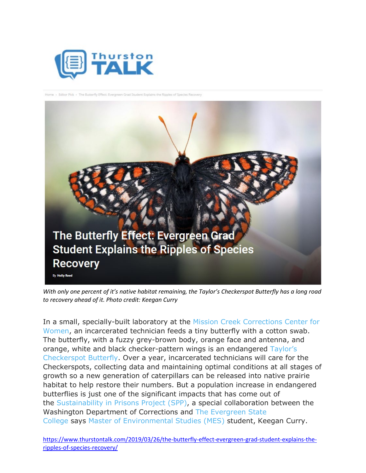



*With only one percent of it's native habitat remaining, the Taylor's Checkerspot Butterfly has a long road to recovery ahead of it. Photo credit: Keegan Curry*

In a small, specially-built laboratory at the [Mission Creek Corrections Center for](https://doc.wa.gov/corrections/incarceration/prisons/mcccw.htm)  [Women,](https://doc.wa.gov/corrections/incarceration/prisons/mcccw.htm) an incarcerated technician feeds a tiny butterfly with a cotton swab. The butterfly, with a fuzzy grey-brown body, orange face and antenna, and orange, white and black checker-pattern wings is an endangered [Taylor's](https://www.fws.gov/oregonfwo/articles.cfm?id=149489449)  [Checkerspot Butterfly.](https://www.fws.gov/oregonfwo/articles.cfm?id=149489449) Over a year, incarcerated technicians will care for the Checkerspots, collecting data and maintaining optimal conditions at all stages of growth so a new generation of caterpillars can be released into native prairie habitat to help restore their numbers. But a population increase in endangered butterflies is just one of the significant impacts that has come out of the [Sustainability in Prisons Project \(SPP\),](http://sustainabilityinprisons.org/) a special collaboration between the Washington Department of Corrections and [The Evergreen State](https://www.evergreen.edu/)  [College](https://www.evergreen.edu/) says [Master of Environmental Studies \(MES\)](https://www.evergreen.edu/mes) student, Keegan Curry.

[https://www.thurstontalk.com/2019/03/26/the-butterfly-effect-evergreen-grad-student-explains-the](https://www.thurstontalk.com/2019/03/26/the-butterfly-effect-evergreen-grad-student-explains-the-ripples-of-species-recovery/)[ripples-of-species-recovery/](https://www.thurstontalk.com/2019/03/26/the-butterfly-effect-evergreen-grad-student-explains-the-ripples-of-species-recovery/)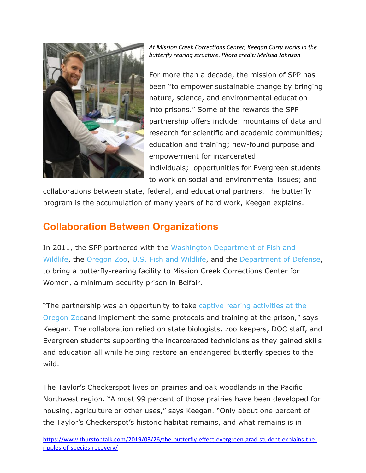

*At Mission Creek Corrections Center, Keegan Curry works in the butterfly rearing structure. Photo credit: Melissa Johnson*

For more than a decade, the mission of SPP has been "to empower sustainable change by bringing nature, science, and environmental education into prisons." Some of the rewards the SPP partnership offers include: mountains of data and research for scientific and academic communities; education and training; new-found purpose and empowerment for incarcerated individuals; opportunities for Evergreen students to work on social and environmental issues; and

collaborations between state, federal, and educational partners. The butterfly program is the accumulation of many years of hard work, Keegan explains.

## **Collaboration Between Organizations**

In 2011, the SPP partnered with the [Washington Department of Fish and](https://wdfw.wa.gov/)  [Wildlife,](https://wdfw.wa.gov/) the [Oregon Zoo,](https://www.oregonzoo.org/) [U.S. Fish and Wildlife,](https://www.fws.gov/) and the [Department of Defense,](https://www.defense.gov/) to bring a butterfly-rearing facility to Mission Creek Corrections Center for Women, a minimum-security prison in Belfair.

"The partnership was an opportunity to take [captive rearing activities at the](https://www.oregonzoo.org/sites/default/files/downloads/taylors_checkerspot_overview_booklet.pdf)  [Oregon Zooa](https://www.oregonzoo.org/sites/default/files/downloads/taylors_checkerspot_overview_booklet.pdf)nd implement the same protocols and training at the prison," says Keegan. The collaboration relied on state biologists, zoo keepers, DOC staff, and Evergreen students supporting the incarcerated technicians as they gained skills and education all while helping restore an endangered butterfly species to the wild.

The Taylor's Checkerspot lives on prairies and oak woodlands in the Pacific Northwest region. "Almost 99 percent of those prairies have been developed for housing, agriculture or other uses," says Keegan. "Only about one percent of the Taylor's Checkerspot's historic habitat remains, and what remains is in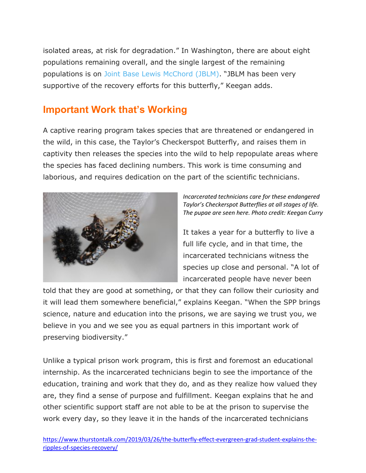isolated areas, at risk for degradation." In Washington, there are about eight populations remaining overall, and the single largest of the remaining populations is on [Joint Base Lewis McChord \(JBLM\).](https://home.army.mil/lewis-mcchord/) "JBLM has been very supportive of the recovery efforts for this butterfly," Keegan adds.

## **Important Work that's Working**

A captive rearing program takes species that are threatened or endangered in the wild, in this case, the Taylor's Checkerspot Butterfly, and raises them in captivity then releases the species into the wild to help repopulate areas where the species has faced declining numbers. This work is time consuming and laborious, and requires dedication on the part of the scientific technicians.



*Incarcerated technicians care for these endangered Taylor's Checkerspot Butterflies at all stages of life. The pupae are seen here. Photo credit: Keegan Curry*

It takes a year for a butterfly to live a full life cycle, and in that time, the incarcerated technicians witness the species up close and personal. "A lot of incarcerated people have never been

told that they are good at something, or that they can follow their curiosity and it will lead them somewhere beneficial," explains Keegan. "When the SPP brings science, nature and education into the prisons, we are saying we trust you, we believe in you and we see you as equal partners in this important work of preserving biodiversity."

Unlike a typical prison work program, this is first and foremost an educational internship. As the incarcerated technicians begin to see the importance of the education, training and work that they do, and as they realize how valued they are, they find a sense of purpose and fulfillment. Keegan explains that he and other scientific support staff are not able to be at the prison to supervise the work every day, so they leave it in the hands of the incarcerated technicians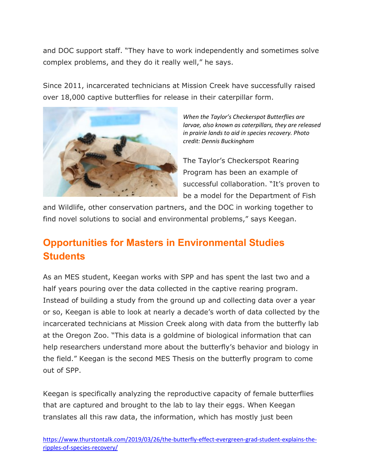and DOC support staff. "They have to work independently and sometimes solve complex problems, and they do it really well," he says.

Since 2011, incarcerated technicians at Mission Creek have successfully raised over 18,000 captive butterflies for release in their caterpillar form.



*When the Taylor's Checkerspot Butterflies are larvae, also known as caterpillars, they are released in prairie lands to aid in species recovery. Photo credit: Dennis Buckingham*

The Taylor's Checkerspot Rearing Program has been an example of successful collaboration. "It's proven to be a model for the Department of Fish

and Wildlife, other conservation partners, and the DOC in working together to find novel solutions to social and environmental problems," says Keegan.

## **Opportunities for Masters in Environmental Studies Students**

As an MES student, Keegan works with SPP and has spent the last two and a half years pouring over the data collected in the captive rearing program. Instead of building a study from the ground up and collecting data over a year or so, Keegan is able to look at nearly a decade's worth of data collected by the incarcerated technicians at Mission Creek along with data from the butterfly lab at the Oregon Zoo. "This data is a goldmine of biological information that can help researchers understand more about the butterfly's behavior and biology in the field." Keegan is the second MES Thesis on the butterfly program to come out of SPP.

Keegan is specifically analyzing the reproductive capacity of female butterflies that are captured and brought to the lab to lay their eggs. When Keegan translates all this raw data, the information, which has mostly just been